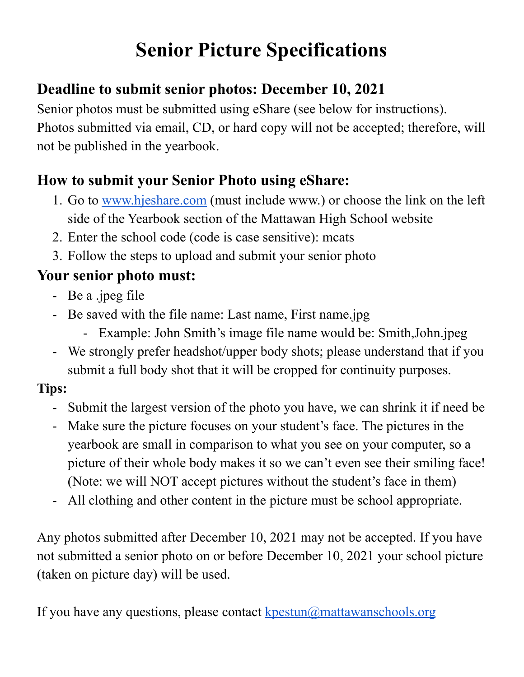# **Senior Picture Specifications**

# **Deadline to submit senior photos: December 10, 2021**

Senior photos must be submitted using eShare (see below for instructions). Photos submitted via email, CD, or hard copy will not be accepted; therefore, will not be published in the yearbook.

### **How to submit your Senior Photo using eShare:**

- 1. Go to [www.hjeshare.com](http://www.hjeshare.com) (must include www.) or choose the link on the left side of the Yearbook section of the Mattawan High School website
- 2. Enter the school code (code is case sensitive): mcats
- 3. Follow the steps to upload and submit your senior photo

# **Your senior photo must:**

- Be a .jpeg file
- Be saved with the file name: Last name, First name.jpg
	- Example: John Smith's image file name would be: Smith,John.jpeg
- We strongly prefer headshot/upper body shots; please understand that if you submit a full body shot that it will be cropped for continuity purposes.

### **Tips:**

- Submit the largest version of the photo you have, we can shrink it if need be
- Make sure the picture focuses on your student's face. The pictures in the yearbook are small in comparison to what you see on your computer, so a picture of their whole body makes it so we can't even see their smiling face! (Note: we will NOT accept pictures without the student's face in them)
- All clothing and other content in the picture must be school appropriate.

Any photos submitted after December 10, 2021 may not be accepted. If you have not submitted a senior photo on or before December 10, 2021 your school picture (taken on picture day) will be used.

If you have any questions, please contact  $k$  pestun $\omega$  mattawanschools.org